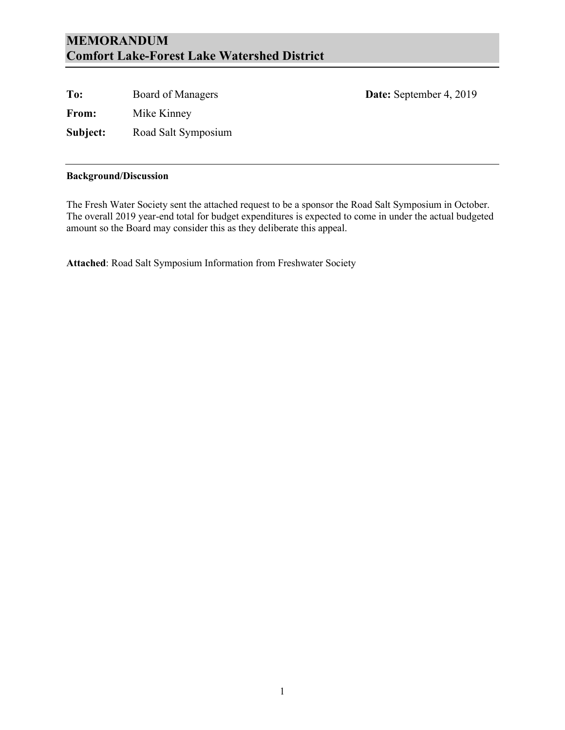#### **MEMORANDUM Comfort Lake-Forest Lake Watershed District**

**To:** Board of Managers **Date:** September 4, 2019 **From:** Mike Kinney **Subject:** Road Salt Symposium

#### **Background/Discussion**

The Fresh Water Society sent the attached request to be a sponsor the Road Salt Symposium in October. The overall 2019 year-end total for budget expenditures is expected to come in under the actual budgeted amount so the Board may consider this as they deliberate this appeal.

**Attached**: Road Salt Symposium Information from Freshwater Society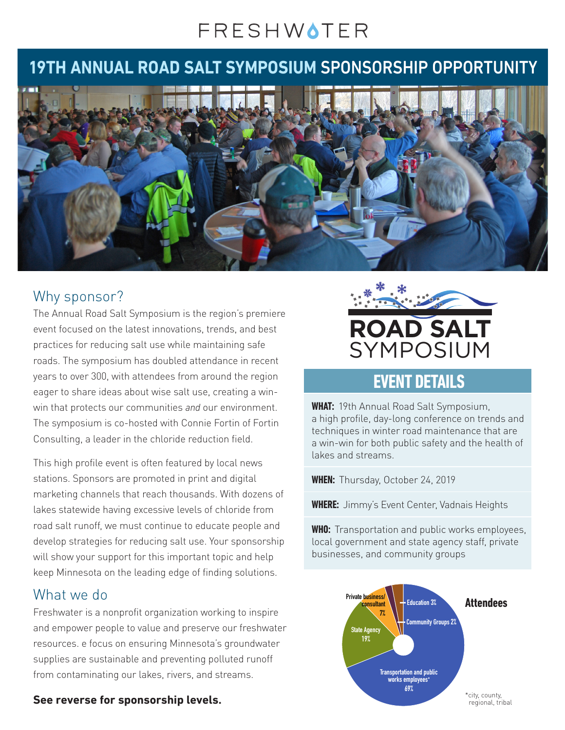## FRESHWOTER

## **19TH ANNUAL ROAD SALT SYMPOSIUM** SPONSORSHIP OPPORTUNITY



#### Why sponsor?

The Annual Road Salt Symposium is the region's premiere event focused on the latest innovations, trends, and best practices for reducing salt use while maintaining safe roads. The symposium has doubled attendance in recent years to over 300, with attendees from around the region eager to share ideas about wise salt use, creating a winwin that protects our communities *and* our environment. The symposium is co-hosted with Connie Fortin of Fortin Consulting, a leader in the chloride reduction field.

This high profile event is often featured by local news stations. Sponsors are promoted in print and digital marketing channels that reach thousands. With dozens of lakes statewide having excessive levels of chloride from road salt runoff, we must continue to educate people and develop strategies for reducing salt use. Your sponsorship will show your support for this important topic and help keep Minnesota on the leading edge of finding solutions.

#### What we do

Freshwater is a nonprofit organization working to inspire and empower people to value and preserve our freshwater resources. e focus on ensuring Minnesota's groundwater supplies are sustainable and preventing polluted runoff from contaminating our lakes, rivers, and streams.

# **ROAD SALT** SYMPOSIUM

### **EVENT DETAILS**

**WHAT:** 19th Annual Road Salt Symposium, a high profile, day-long conference on trends and techniques in winter road maintenance that are a win-win for both public safety and the health of lakes and streams.

**WHEN:** Thursday, October 24, 2019

**WHERE:** Jimmy's Event Center, Vadnais Heights

**WHO:** Transportation and public works employees, local government and state agency staff, private businesses, and community groups



**See reverse for sponsorship levels.**

regional, tribal